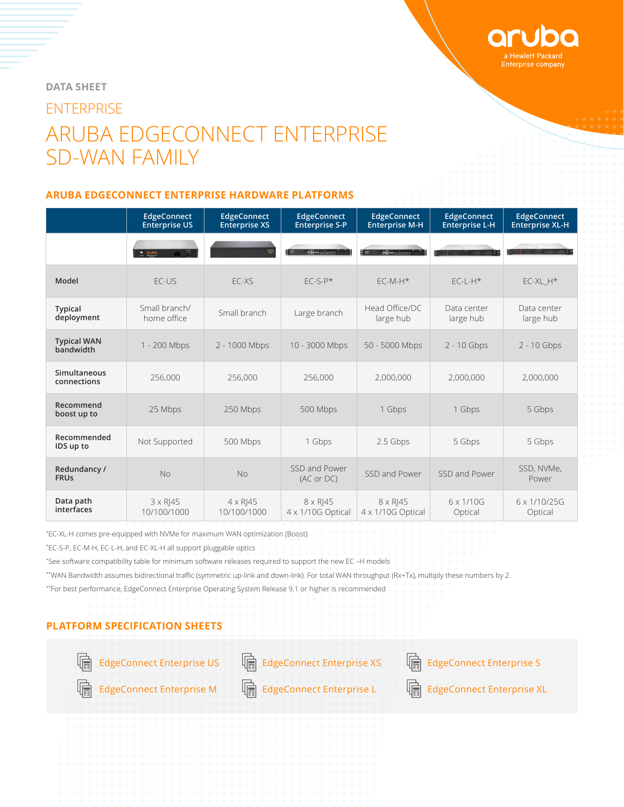

# **DATA SHEET ENTERPRISE** ARUBA EDGECONNECT ENTERPRISE SD-WAN FAMILY

#### **ARUBA EDGECONNECT ENTERPRISE HARDWARE PLATFORMS**

|                                 | <b>EdgeConnect</b><br><b>Enterprise US</b> | <b>EdgeConnect</b><br><b>Enterprise XS</b> | <b>EdgeConnect</b><br><b>Enterprise S-P</b> | <b>EdgeConnect</b><br><b>Enterprise M-H</b> | <b>EdgeConnect</b><br><b>Enterprise L-H</b> | <b>EdgeConnect</b><br><b>Enterprise XL-H</b> |
|---------------------------------|--------------------------------------------|--------------------------------------------|---------------------------------------------|---------------------------------------------|---------------------------------------------|----------------------------------------------|
|                                 | $\overline{\circ}$<br>$\circ$ aruba        | $rac{\omega_1}{\omega_2}$                  | <b>HAMGLOOD</b>                             | <b>HAM</b> CLUCCO                           |                                             | 91 - 1 - 1                                   |
| Model                           | $FC$ -US                                   | $FC-XS$                                    | $FC-S-P*$                                   | $FC-M-H*$                                   | $FC-I - H*$                                 | $EC-XL$ $H*$                                 |
| <b>Typical</b><br>deployment    | Small branch/<br>home office               | Small branch                               | Large branch                                | Head Office/DC<br>large hub                 | Data center<br>large hub                    | Data center<br>large hub                     |
| <b>Typical WAN</b><br>bandwidth | 1 - 200 Mbps                               | 2 - 1000 Mbps                              | 10 - 3000 Mbps                              | 50 - 5000 Mbps                              | $2 - 10$ Gbps                               | 2 - 10 Gbps                                  |
| Simultaneous<br>connections     | 256,000                                    | 256,000                                    | 256,000                                     | 2,000,000                                   | 2,000,000                                   | 2,000,000                                    |
| Recommend<br>boost up to        | 25 Mbps                                    | 250 Mbps                                   | 500 Mbps                                    | 1 Gbps                                      | 1 Gbps                                      | 5 Gbps                                       |
| Recommended<br>IDS up to        | Not Supported                              | 500 Mbps                                   | 1 Gbps                                      | 2.5 Gbps                                    | 5 Gbps                                      | 5 Gbps                                       |
| Redundancy /<br><b>FRUs</b>     | <b>No</b>                                  | <b>No</b>                                  | SSD and Power<br>(AC or DC)                 | SSD and Power                               | SSD and Power                               | SSD, NVMe,<br>Power                          |
| Data path<br>interfaces         | $3 \times R$   45<br>10/100/1000           | $4 \times R$   45<br>10/100/1000           | $8 \times R$   45<br>4 x 1/10G Optical      | $8 \times R$  45<br>4 x 1/10G Optical       | $6 \times 1/10$ G<br>Optical                | 6 x 1/10/25G<br>Optical                      |

\* EC-XL-H comes pre-equipped with NVMe for maximum WAN optimization (Boost)

\* EC-S-P, EC-M-H, EC-L-H, and EC-XL-H all support pluggable optics

\* See software compatibility table for minimum software releases required to support the new EC –H models

\*\*WAN Bandwidth assumes bidirectional traffic (symmetric up-link and down-link). For total WAN throughput (Rx+Tx), multiply these numbers by 2.

\*\*For best performance, EdgeConnect Enterprise Operating System Release 9.1 or higher is recommended

### **PLATFORM SPECIFICATION SHEETS**





[EdgeConnect Enterprise US](https://www.silver-peak.com/resource-center/edgeconnect-us-ec-us-specification-sheet) [EdgeConnect Enterprise XS](https://www.silver-peak.com/resource-center/ec-xs-specification-sheet) Enterprise S



唁

[EdgeConnect Enterprise M](https://www.silver-peak.com/resource-center/ec-m-specification-sheet)  $\left[\begin{matrix} \frac{1}{2} \\ \frac{1}{2} \end{matrix}\right]$  EdgeConnect Enterprise Enterprise XL